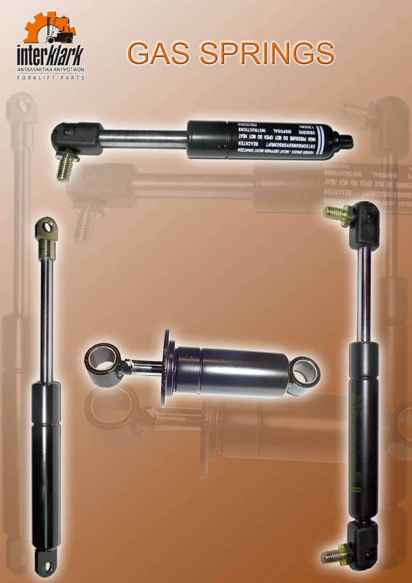

# **GAS SPRINGS**

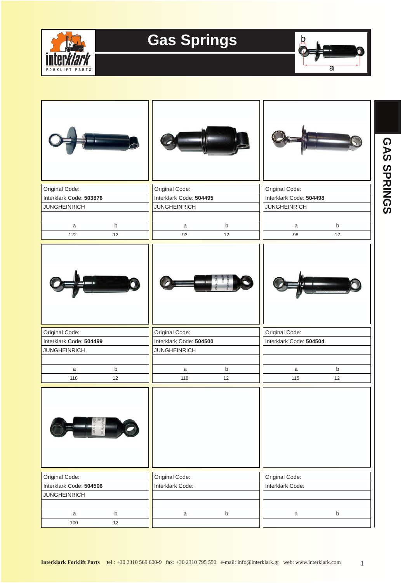



| Original Code:                                 |             | Original Code:                                 |                         |                     | Original Code:          |                         |         |  |
|------------------------------------------------|-------------|------------------------------------------------|-------------------------|---------------------|-------------------------|-------------------------|---------|--|
| Interklark Code: 503876<br><b>JUNGHEINRICH</b> |             | <b>JUNGHEINRICH</b>                            | Interklark Code: 504495 |                     | Interklark Code: 504498 |                         |         |  |
|                                                |             |                                                |                         | <b>JUNGHEINRICH</b> |                         |                         |         |  |
| $\mathsf a$                                    | $\sf b$     |                                                | a                       | $\sf b$             |                         | a                       | $\sf b$ |  |
| 122                                            | $12$        |                                                | 93                      | 12                  |                         | 98                      | 12      |  |
|                                                |             |                                                |                         |                     |                         |                         |         |  |
| Original Code:                                 |             | Original Code:                                 |                         |                     | Original Code:          |                         |         |  |
| Interklark Code: 504499                        |             | Interklark Code: 504500<br><b>JUNGHEINRICH</b> |                         |                     |                         | Interklark Code: 504504 |         |  |
| <b>JUNGHEINRICH</b>                            |             |                                                |                         |                     |                         |                         |         |  |
| $\mathsf{a}$                                   | $\sf b$     |                                                | $\mathsf{a}$            | $\sf b$             |                         | a                       | $\sf b$ |  |
| 118                                            | 12          |                                                | 118                     | 12                  |                         | 115                     | 12      |  |
| <b>THE REAL</b>                                |             |                                                |                         |                     |                         |                         |         |  |
| Original Code:                                 |             | Original Code:                                 |                         |                     | Original Code:          |                         |         |  |
| Interklark Code: 504506                        |             | Interklark Code:                               |                         |                     | Interklark Code:        |                         |         |  |
| <b>JUNGHEINRICH</b>                            |             |                                                |                         |                     |                         |                         |         |  |
| $\mathsf a$                                    | $\mathsf b$ |                                                | $\mathsf{a}$            | $\mathsf b$         |                         | $\mathsf{a}$            | b       |  |
| 100                                            | 12          |                                                |                         |                     |                         |                         |         |  |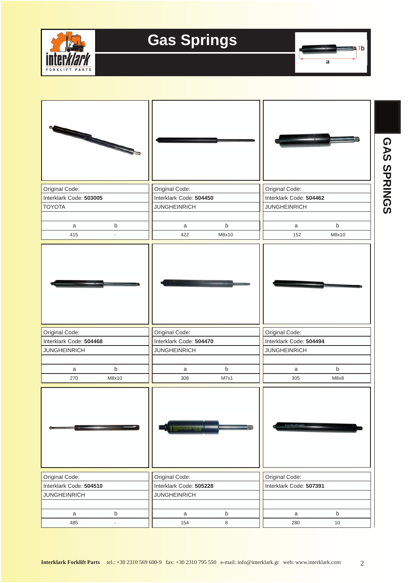



| Original Code:          |         | Original Code:                 |             | Original Code:          |                         |  |  |
|-------------------------|---------|--------------------------------|-------------|-------------------------|-------------------------|--|--|
| Interklark Code: 503005 |         | Interklark Code: 504450        |             | Interklark Code: 504462 |                         |  |  |
| <b>TOYOTA</b>           |         | <b>JUNGHEINRICH</b>            |             | <b>JUNGHEINRICH</b>     |                         |  |  |
| $\mathsf a$             | $\sf b$ | a                              | $\sf b$     | $\mathsf a$             | $\mathsf b$             |  |  |
| 415                     |         | 422                            | M8x10       | 152                     | M8x10                   |  |  |
|                         |         |                                |             |                         |                         |  |  |
| Original Code:          |         | Original Code:                 |             | Original Code:          |                         |  |  |
| Interklark Code: 504468 |         | Interklark Code: 504470        |             | Interklark Code: 504494 |                         |  |  |
| <b>JUNGHEINRICH</b>     |         | <b>JUNGHEINRICH</b>            |             | <b>JUNGHEINRICH</b>     |                         |  |  |
| $\mathsf{a}$            | $\sf b$ | $\mathsf{a}$                   | $\mathsf b$ | $\mathsf{a}$            | $\mathsf b$             |  |  |
| 270                     | M8x10   | 308                            | M7x1        | 305                     | M8x8                    |  |  |
|                         |         | <b>A Terminal Constitution</b> |             |                         |                         |  |  |
| Original Code:          |         | Original Code:                 |             | Original Code:          |                         |  |  |
| Interklark Code: 504510 |         | Interklark Code: 505228        |             |                         | Interklark Code: 507391 |  |  |
| <b>JUNGHEINRICH</b>     |         | <b>JUNGHEINRICH</b>            |             |                         |                         |  |  |
| a                       | $\sf b$ | a                              | $\mathsf b$ | a                       | $\mathsf b$             |  |  |
| 485                     |         | 154                            | 8           | 280                     | $10\,$                  |  |  |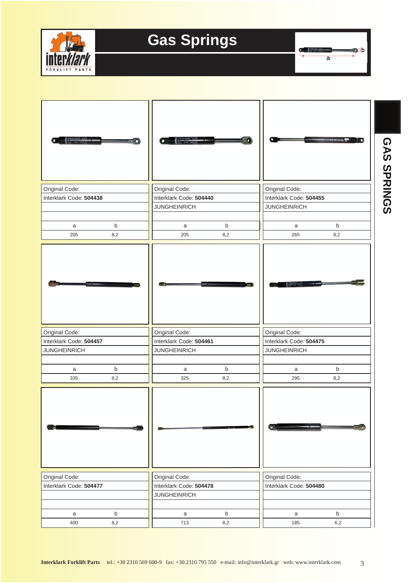

 $\sigma$  . The set of  $\sigma$  $\overline{a}$ 

 $\bullet$  :b

| Original Code:          |             | Original Code:      |                                                    | Original Code: | Interklark Code: 504455 |                         |  |  |
|-------------------------|-------------|---------------------|----------------------------------------------------|----------------|-------------------------|-------------------------|--|--|
| Interklark Code: 504438 |             |                     | Interklark Code: 504440                            |                |                         |                         |  |  |
|                         |             |                     | <b>JUNGHEINRICH</b>                                |                |                         |                         |  |  |
| a                       | $\mathsf b$ | a                   | $\mathsf b$                                        |                | a                       | $\mathsf b$             |  |  |
| 205                     | 8,2         | 205                 | 8,2                                                |                | 265                     | 8,2                     |  |  |
|                         |             |                     |                                                    |                |                         |                         |  |  |
|                         |             |                     |                                                    |                |                         |                         |  |  |
| Original Code:          |             | Original Code:      |                                                    | Original Code: |                         |                         |  |  |
| Interklark Code: 504457 |             |                     | Interklark Code: 504461<br>Interklark Code: 504475 |                |                         |                         |  |  |
| <b>JUNGHEINRICH</b>     |             | <b>JUNGHEINRICH</b> |                                                    |                | <b>JUNGHEINRICH</b>     |                         |  |  |
|                         |             |                     |                                                    |                |                         |                         |  |  |
| a                       | $\mathsf b$ | a<br>325            | $\mathsf b$                                        |                | a<br>295                | $\mathsf b$             |  |  |
| 335                     | 8,2         |                     | 8,2                                                |                |                         | 8,2                     |  |  |
|                         |             |                     |                                                    |                |                         |                         |  |  |
| Original Code:          |             | Original Code:      | Original Code:                                     |                |                         |                         |  |  |
| Interklark Code: 504477 |             |                     | Interklark Code: 504478                            |                |                         | Interklark Code: 504480 |  |  |
|                         |             | <b>JUNGHEINRICH</b> |                                                    |                |                         |                         |  |  |
|                         |             |                     |                                                    |                |                         |                         |  |  |
| $\mathsf{a}$            | $\mathsf b$ | $\mathsf a$         | $\mathsf b$                                        |                | $\mathsf{a}$            | $\sf b$                 |  |  |
| 400                     | 8,2         | 713                 | 8,2                                                |                | 185                     | $6,2$                   |  |  |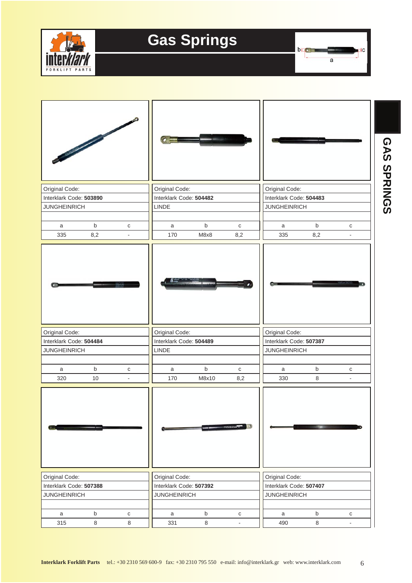



**GAS SPRINGS**

GAS SPRINGS

| Original Code:          |                    |                          | Original Code:                             |                     |                    | Original Code:          |                |                          |  |
|-------------------------|--------------------|--------------------------|--------------------------------------------|---------------------|--------------------|-------------------------|----------------|--------------------------|--|
| Interklark Code: 503890 |                    |                          | Interklark Code: 504482                    |                     |                    | Interklark Code: 504483 |                |                          |  |
| <b>JUNGHEINRICH</b>     |                    |                          | LINDE                                      |                     |                    | <b>JUNGHEINRICH</b>     |                |                          |  |
|                         |                    |                          |                                            |                     |                    |                         |                |                          |  |
| a<br>335                | $\mathsf b$<br>8,2 | ${\bf C}$                | a<br>170                                   | $\mathsf b$<br>M8x8 | $\mathbf C$<br>8,2 | a<br>335                | $\sf b$<br>8,2 | ${\bf C}$                |  |
|                         |                    |                          |                                            |                     |                    |                         |                |                          |  |
| Original Code:          |                    |                          | Original Code:                             |                     |                    | Original Code:          |                |                          |  |
| Interklark Code: 504484 |                    |                          | Interklark Code: 504489                    |                     |                    | Interklark Code: 507387 |                |                          |  |
| <b>JUNGHEINRICH</b>     |                    |                          | LINDE                                      |                     |                    | <b>JUNGHEINRICH</b>     |                |                          |  |
|                         |                    |                          |                                            |                     |                    |                         |                |                          |  |
| a                       | $\mathsf b$        | ${\bf C}$                | a                                          | $\mathsf b$         | ${\bf C}$          | a                       | $\mathsf b$    | $\mathbf C$              |  |
| 320                     | 10                 | $\overline{\phantom{a}}$ | 170                                        | M8x10               | 8,2                | 330                     | $\,8\,$        | $\overline{\phantom{a}}$ |  |
|                         |                    |                          |                                            |                     | uncertainment of   |                         |                |                          |  |
| Original Code:          |                    |                          | Original Code:                             |                     |                    | Original Code:          |                |                          |  |
| Interklark Code: 507388 |                    |                          | Interklark Code: 507392                    |                     |                    | Interklark Code: 507407 |                |                          |  |
| <b>JUNGHEINRICH</b>     |                    |                          | <b>JUNGHEINRICH</b><br><b>JUNGHEINRICH</b> |                     |                    |                         |                |                          |  |
|                         |                    |                          |                                            |                     |                    |                         |                |                          |  |
| a                       | $\sf b$            | ${\bf C}$                | a                                          | $\mathsf b$         | С                  | a                       | $\sf b$        | С                        |  |
| 315                     | 8                  | $\,8\,$                  | 331                                        | $\,8\,$             | $\blacksquare$     | 490                     | 8              |                          |  |